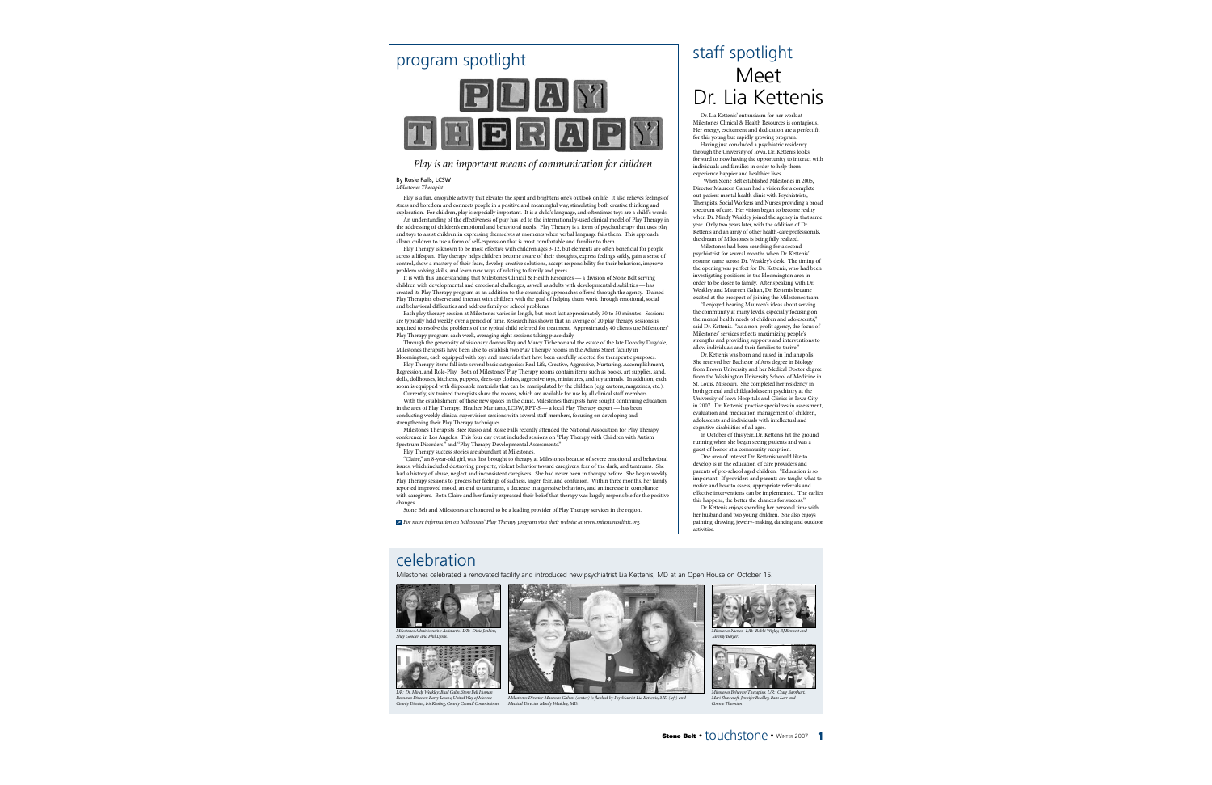

### *Play is an important means of communication for children*

### By Rosie Falls, LCSW

*Milestones Therapist*

Play is a fun, enjoyable activity that elevates the spirit and brightens one's outlook on life. It also relieves feelings of stress and boredom and connects people in a positive and meaningful way, stimulating both creative thinking and exploration. For children, play is especially important. It is a child's language, and oftentimes toys are a child's words.

An understanding of the effectiveness of play has led to the internationally-used clinical model of Play Therapy in the addressing of children's emotional and behavioral needs. Play Therapy is a form of psychotherapy that uses play<br>and toys to assist children in expressing themselves at moments when verbal language fails them. This ap allows children to use a form of self-expression that is most comfortable and familiar to them.

Play Therapy is known to be most effective with children ages 3-12, but elements are often beneficial for people across a lifespan. Play therapy helps children become aware of their thoughts, express feelings safely, gain a sense of control, show a mastery of their fears, develop creative solutions, accept responsibility for their behaviors, improve problem solving skills, and learn new ways of relating to family and peers.

It is with this understanding that Milestones Clinical & Health Resources — a division of Stone Belt serving children with developmental and emotional challenges, as well as adults with developmental disabilities — has created its Play Therapy program as an addition to the counseling approaches offered through the agency. Trained Play Therapists observe and interact with children with the goal of helping them work through emotional, social and behavioral difficulties and address family or school problems.

Each play therapy session at Milestones varies in length, but most last approximately 30 to 50 minutes. Sessions are typically held weekly over a period of time. Research has shown that an average of 20 play therapy sessions is required to resolve the problems of the typical child referred for treatment. Approximately 40 clients use Milestones' Play Therapy program each week, averaging eight sessions taking place daily.

Through the generosity of visionary donors Ray and Marcy Tichenor and the estate of the late Dorothy Dugdale, Milestones therapists have been able to establish two Play Therapy rooms in the Adams Street facility in Bloomington, each equipped with toys and materials that have been carefully selected for therapeutic purposes.

Play Therapy items fall into several basic categories: Real Life, Creative, Aggressive, Nurturing, Accomplishment, Regression, and Role-Play. Both of Milestones' Play Therapy rooms contain items such as books, art supplies, sand, dolls, dollhouses, kitchens, puppets, dress-up clothes, aggressive toys, miniatures, and toy animals. In addition, each room is equipped with disposable materials that can be manipulated by the children (egg cartons, magazines, etc.).

Currently, six trained therapists share the rooms, which are available for use by all clinical staff members. With the establishment of these new spaces in the clinic, Milestones therapists have sought continuing education in the area of Play Therapy. Heather Maritano, LCSW, RPT-S — a local Play Therapy expert — has been

conducting weekly clinical supervision sessions with several staff members, focusing on developing and strengthening their Play Therapy techniques.

Milestones Therapists Bree Russo and Rosie Falls recently attended the National Association for Play Therapy conference in Los Angeles. This four day event included sessions on "Play Therapy with Children with Autism Spectrum Disorders," and "Play Therapy Developmental Assessments."

Play Therapy success stories are abundant at Milestones.

"Claire," an 8-year-old girl, was first brought to therapy at Milestones because of severe emotional and behavioral issues, which included destroying property, violent behavior toward caregivers, fear of the dark, and tantrums. She had a history of abuse, neglect and inconsistent caregivers. She had never been in therapy before. She began weekly Play Therapy sessions to process her feelings of sadness, anger, fear, and confusion. Within three months, her family reported improved mood, an end to tantrums, a decrease in aggressive behaviors, and an increase in compliance with caregivers. Both Claire and her family expressed their belief that therapy was largely responsible for the positive changes.

Stone Belt and Milestones are honored to be a leading provider of Play Therapy services in the region.

*For more information on Milestones' Play Therapy program visit their website at www.milestonesclinic.org.* >

### staff spotlight Meet Dr. Lia Kettenis

Dr. Lia Kettenis' enthusiasm for her work at Milestones Clinical & Health Resources is contagious. Her energy, excitement and dedication are a perfect fit for this young but rapidly growing program.

Having just concluded a psychiatric residency through the University of Iowa, Dr. Kettenis looks forward to now having the opportunity to interact with individuals and families in order to help them experience happier and healthier lives.

When Stone Belt established Milestones in 2005. Director Maureen Gahan had a vision for a complete out-patient mental health clinic with Psychiatrists, Therapists, Social Workers and Nurses providing a broad spectrum of care. Her vision began to become reality when Dr. Mindy Weakley joined the agency in that same year. Only two years later, with the addition of Dr. Kettenis and an array of other health-care professionals, the dream of Milestones is being fully realized.

Milestones had been searching for a second psychiatrist for several months when Dr. Kettenis' resume came across Dr. Weakley's desk. The timing of the opening was perfect for Dr. Kettenis, who had been investigating positions in the Bloomington area in order to be closer to family. After speaking with Dr. Weakley and Maureen Gahan, Dr. Kettenis became excited at the prospect of joining the Milestones team.

"I enjoyed hearing Maureen's ideas about serving the community at many levels, especially focusing on the mental health needs of children and adolescents. said Dr. Kettenis. "As a non-profit agency, the focus of Milestones' services reflects maximizing people's strengths and providing supports and interventions to allow individuals and their families to thrive."

Dr. Kettenis was born and raised in Indianapolis. She received her Bachelor of Arts degree in Biology from Brown University and her Medical Doctor degree from the Washington University School of Medicine in St. Louis, Missouri. She completed her residency in both general and child/adolescent psychiatry at the University of Iowa Hospitals and Clinics in Iowa City in 2007. Dr. Kettenis' practice specializes in assessment, evaluation and medication management of children, adolescents and individuals with intellectual and cognitive disabilities of all ages.

In October of this year, Dr. Kettenis hit the ground running when she began seeing patients and was a guest of honor at a community reception.

One area of interest Dr. Kettenis would like to develop is in the education of care providers and parents of pre-school aged children. "Education is so important. If providers and parents are taught what to notice and how to assess, appropriate referrals and effective interventions can be implemented. The earlier this happens, the better the chances for success."

Dr. Kettenis enjoys spending her personal time with her husband and two young children. She also enjoys painting, drawing, jewelry-making, dancing and outdoor activities.

### celebration

Milestones celebrated a renovated facility and introduced new psychiatrist Lia Kettenis, MD at an Open House on October 15.



*Milestones Administrative Assistants. L/R: Dixie Jenkins, Shay Gooden and Phil Lyons.*



*L/R: Dr. Mindy Weakley; Brad Galin, Stone Belt Human Resources Director; Barry Lessow, United Way of Monroe County Director; Iris Kiesling, County Council Commissioner.*



*Milestones Director Maureen Gahan (center) is flanked by Psychiatrist Lia Kettenis, MD (left) and Medical Director Mindy Weakley, MD.*



*Milestones Nurses. L/R: Bobbi Wigley, BJ Bennett and Tammy Barger.*



*Milestones Behavior Therapists. L/R: Craig Barnhart, Mari Shawcroft, Jennifer Buckley, Pam Larr and Connie Thornton*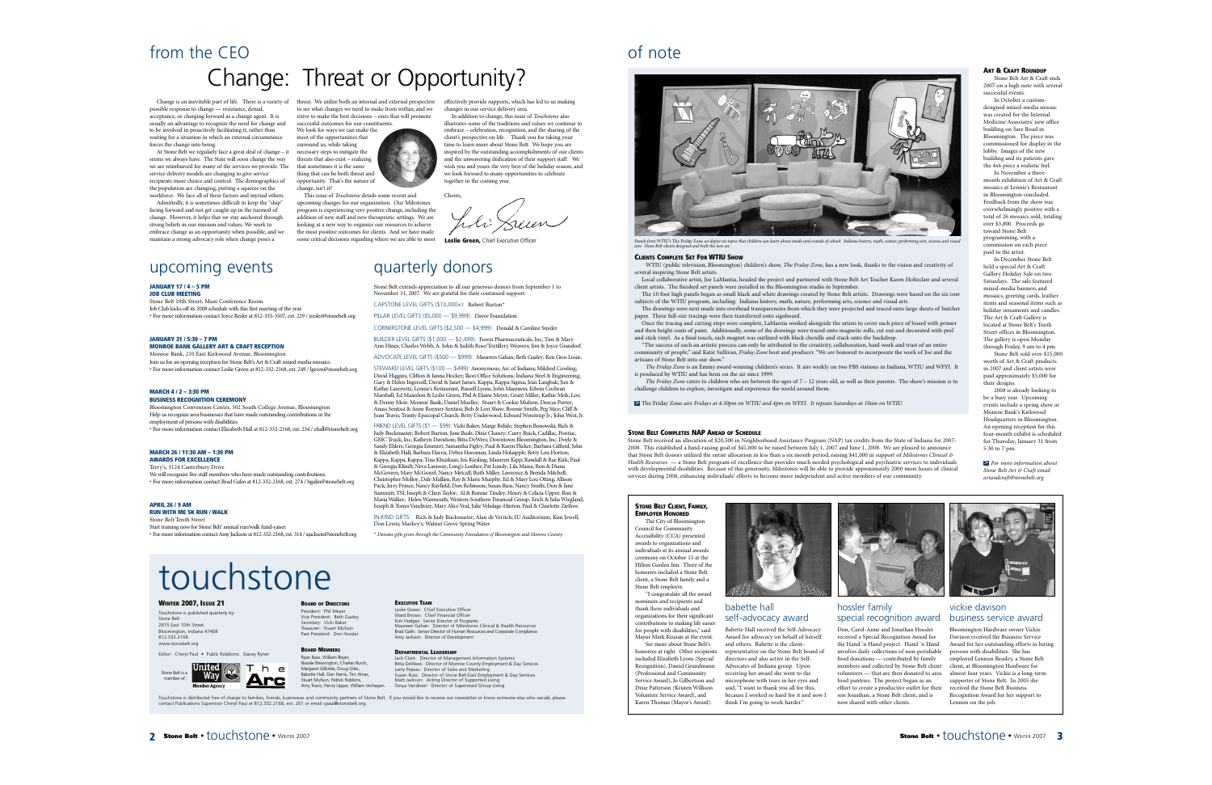### from the CEO Change: Threat or Opportunity?

Change is an inevitable part of life. There is a variety of threat. We utilize both an internal and external perspective possible response to change — resistance, denial, acceptance, or charging forward as a change agent. It is usually an advantage to recognize the need for change and to be involved in proactively facilitating it, rather than waiting for a situation in which an external circumstance forces the change into being.

At Stone Belt we regularly face a great deal of change – it seems we always have. The State will soon change the way we are reimbursed for many of the services we provide. The service delivery models are changing to give service recipients more choice and control. The demographics of the population are changing, putting a squeeze on the workforce. We face all of these factors and myriad others.

Admittedly, it is sometimes difficult to keep the "ship" facing forward and not get caught up in the turmoil of change. However, it helps that we stay anchored through strong beliefs in our mission and values. We work to embrace change as an opportunity when possible, and we maintain a strong advocacy role when change poses a

### upcoming events

### **JANUARY 17 / 4 – 5 PM**

**JOB CLUB MEETING** Stone Belt 10th Street, Main Conference Room Job Club kicks off its 2008 schedule with this first meeting of the year.

• For more information contact Joyce Resler at 812-335-3507, ext. 229 / jresler@stonebelt.org

#### **JANUARY 31 / 5:30 – 7 PM MONROE BANK GALLERY ART & CRAFT RECEPTION**

Monroe Bank, 210 East Kirkwood Avenue, Bloomington Join us for an opening reception for Stone Belt's Art & Craft mixed media mosaics. • For more information contact Leslie Green at 812-332-2168, ext. 249 / lgreen@stonebelt.org

#### **MARCH 4 / 2 – 3:30 PM BUSINESS RECOGNITION CEREMONY**

Bloomington Convention Center, 302 South College Avenue, Bloomington Help us recognize area businesses that have made outstanding contributions in the employment of persons with disabilities. • For more information contact Elizabeth Hall at 812-332-2168, ext. 234 / ehall@stonebelt.org

#### **MARCH 26 / 11:30 AM – 1:30 PM AWARDS FOR EXCELLENCE**

Terry's, 3124 Canterbury Drive

We will recognize five staff members who have made outstanding contributions. • For more information contact Brad Galin at 812-332-2168, ext. 274 / bgalin@stonebelt.org

#### **APRIL 26 / 9 AM RUN WITH ME 5K RUN / WALK**

Stone Belt Tenth Street Start training now for Stone Belt' annual run/walk fund-raiser. • For more information contact Amy Jackson at 812-332-2168, ext. 314 / ajackson@stonebelt.org

to see what changes we need to make from within, and we strive to make the best decisions – ones that will promote

successful outcomes for our constituents. We look for ways we can make the

most of the opportunities that surround us, while taking necessary steps to mitigate the threats that also exist – realizing that sometimes it is the same thing that can be both threat and opportunity. That's the nature of change, isn't it?

This issue of *Touchstone* details some recent and upcoming changes for our organization. Our Milestones program is experiencing very positive change, including the addition of new staff and new therapeutic settings. We are looking at a new way to organize our resources to achieve the most positive outcomes for clients. And we have made some critical decisions regarding where we are able to most

effectively provide supports, which has led to us making changes in our service delivery area.

In addition to change, this issue of *Touchstone* also illustrates some of the traditions and values we continue to embrace – celebration, recognition, and the sharing of the client's perspective on life. Thank you for taking your time to learn more about Stone Belt. We hope you are inspired by the outstanding accomplishments of our clients and the unwavering dedication of their support staff. We wish you and yours the very best of the holiday season, and we look forward to many opportunities to celebrate together in the coming year.

Cheers

**Leslie Green, Chief Executive Officer** 

### quarterly donors

Stone Belt extends appreciation to all our generous donors from September 1 to November 31, 2007. We are grateful for their continued support. CAPSTONE LEVEL GIFTS (\$10,000+): Robert Burton\*

PILLAR LEVEL GIFTS (\$5,000 — \$9,999): Davee Foundation

CORNERSTONE LEVEL GIFTS (\$2,500 — \$4,999): Donald & Caroline Snyder

BUILDER LEVEL GIFTS (\$1,000 — \$2,499): Forest Pharmaceuticals, Inc; Tim & Mary Ann Hines; Charles Webb; A. John & Judith Rose/Textillery Weavers; Jim & Joyce Grandorf.

ADVOCATE LEVEL GIFTS (\$500 — \$999): Maureen Gahan; Beth Gazley; Ken Gros Louis.

STEWARD LEVEL GIFTS (\$100 — \$499): Anonymous; Arc of Indiana; Mildred Cowling; David Higgins; Clifton & Janna Hocker; Ikon Office Solutions; Indiana Steel & Engineering; Gary & Helen Ingersoll; David & Janet James; Kappa, Kappa Sigma; Jean Langbak; Jim & Kathie Lazerwitz; Lennie's Restaurant; Russell Lyons; John Mannion; Edwin Cochran Marshall; Ed Maxedon & Leslie Green; Phil & Elaine Meyer; Grant Miller; Kathie Moh; Lou & Denny Moir; Monroe Bank; Daniel Mueller; Stuart & Cookie Mufson; Dorcas Porter; Anass Sentissi & Anne Roemer-Sentissi; Bob & Lori Shaw; Bonnie Smith; Peg Stice; Cliff & Joan Travis; Trinity Episcopal Church; Betty Underwood; Edward Wenstrup Jr.; John West, Jr.

FRIEND LEVEL GIFTS (\$1 — \$99): Vicki Baker; Marge Belisle; Stephen Bonowski; Rich & Judy Buckmaster; Robert Burton; June Bush; Dixie Chaney; Curry Buick, Cadillac, Pontiac, GMC Truck, Inc; Kathryn Davidson; Bitta DeWees; Downtown Bloomington, Inc; Doyle & Sandy Ehlers; Georgia Emmert; Samantha Figley; Paul & Karen Flicker; Barbara Gifford; John & Elizabeth Hall; Barbara Harris; Debra Hoesman; Linda Holsapple; Betty Lou Horton; Kappa, Kappa, Kappa; Tina Khuzkian; Iris Kiesling; Maureen Kipp; Randall & Rae Kirk; Paul & Georgia Klindt; Neva Laraway; Long's Leather; Pat Lundy; Lila Massa; Ron & Diana McGovern; Mary McGrayel; Nancy Metcalf; Ruth Miller; Lawrence & Brenda Mitchell; Christopher Molloy; Dale Mullins; Ray & Marie Murphy; Ed & Mary Lou Otting; Allison Pack; Jerry Prince; Nancy Rayfield; Don Robinson; Susan Russ; Nancy Smith; Don & Jane Summitt; TSI; Joseph & Cheri Taylor; Al & Bonnie Tinsley; Henry & Celicia Upper; Ron & Maria Walker; Helen Warmouth; Western-Southern Financial Group; Erich & Julia Wiegland; Joseph & Tonya Vandivier; Mary Alice Veal; Julie Vehslage-Hinton; Paul & Charlotte Zietlow.

IN-KIND GIFTS: Rich & Judy Buckmaster; Alan de Veritch; IU Auditorium; Kim Jewell; Don Lewis; Markey's; Walnut Grove Spring Water

*\* Denotes gifts given through the Community Foundation of Bloomington and Monroe County.*

# touchstone

### **WINTER 2007, ISSUE 21**

Touchstone is published quarterly by: Stone Belt 2815 East 10th Street Bloomington, Indiana 47408 812.332.2168 ww.<br>stonebelt.org

Editor: Cheryl Paul • Public Relations: Stacey Ryne



Touchstone is distributed free of charge to families, friends, businesses and community partners of Stone Belt. If you would like to receive our newsletter or know someone else who would, please<br>contact Publications Superv

### **EXECUTIVE TEAM**

Leslie Green: Chief Executive Officer Ward Brown: Chief Financial Officer Kim Hodges: Senior Director of Programs Maureen Gahan: Director of Milestones Clinical & Health Resources Brad Galin: Senior Director of Human Resources and Corporate Compliance Amy Jackson: Director of Development

#### **DEPARTMENTAL LEADERSHIP**

Jack Clark: Director of Management Information Systems Bitta DeWees: Director of Monroe County Employment & Day Services Larry Pejeau: Director of Sales and Marketing Susan Russ: Director of Stone Belt East Employment & Day Services Matt Jackson: Acting Director of Supported Living Tonya Vandivier: Director of Supervised Group Living

### of note



Panels from WTIU's The Friday Zone set depict six topics that children can learn about inside and outside of school: Indiana history, math, nature, performing arts, science and visual *arts. Stone Belt clients designed and built the new set.*

#### **CLIENTS COMPLETE SET FOR WTIU SHOW**

WTIU (public television, Bloomington) children's show, *The Friday Zone*, has a new look, thanks to the vision and creativity of several inspiring Stone Belt artists.

Local collaborative artist, Joe LaMantia, headed the project and partnered with Stone Belt Art Teacher Karen Holtzclaw and several client artists. The finished set panels were installed in the Bloomington studio in September.

The 10 foot high panels began as small black and white drawings created by Stone Belt artists. Drawings were based on the six core subjects of the WTIU program, including: Indiana history, math, nature, performing arts, science and visual arts.

The drawings were next made into overhead transparencies from which they were projected and traced onto large sheets of butcher paper. These full-size tracings were then transferred onto signboard.

Once the tracing and cutting steps were complete, LaMantia worked alongside the artists to cover each piece of board with primer and then bright coats of paint. Additionally, some of the drawings were traced onto magnetic rolls, cut out and decorated with peel and stick vinyl. As a final touch, each magnet was outlined with black chenille and stuck onto the backdrop.

"The success of such an artistic process can only be attributed to the creativity, collaboration, hard work and trust of an entire community of people," said Katie Sullivan, *Friday Zone* host and producer. "We are honored to incorporate the work of Joe and the artisans of Stone Belt into our show."

*The Friday Zone* is an Emmy award-winning children's series. It airs weekly on two PBS stations in Indiana, WTIU and WFYI. It is produced by WTIU and has been on the air since 1999.

*The Friday Zone* caters to children who are between the ages of  $7 - 12$  years old, as well as their parents. The show's mission is to challenge children to explore, investigate and experience the world around them.

The Friday Zone *airs Fridays at 4:30pm on WTIU and 4pm on WFYI. It repeats Saturdays at 10am on WTIU.* >

#### **STONE BELT COMPLETES NAP AHEAD OF SCHEDULE**

Stone Belt received an allocation of \$20,500 in Neighborhood Assistance Program (NAP) tax credits from the State of Indiana for 2007- 2008. This established a fund-raising goal of \$41,000 to be raised between July 1, 2007 and June 1, 2008. We are pleased to announce that Stone Belt donors utilized the entire allocation in less than a six month period, raising \$41,000 in support of *Milestones Clinical & Health Resources* — a Stone Belt program of excellence that provides much needed psychological and psychiatric services to individuals with developmental disabilities. Because of this generosity, Milestones will be able to provide approximately 2000 more hours of clinical services during 2008, enhancing individuals' efforts to become more independent and active members of our community.

### **STONE BELT CLIENT, FAMILY, EMPLOYER HONORED**

The City of Bloomington Council for Community Accessibility (CCA) presented awards to organizations and individuals at its annual awards ceremony on October 15 at the Hilton Garden Inn. Three of the honorees included a Stone Belt client, a Stone Belt family and a Stone Belt employer. "I congratulate all the award

nominees and recipients and thank these individuals and organizations for their significant contributions to making life easier for people with disabilities," said

Mayor Mark Kruzan at the event. See more about Stone Belt's honorees at right. Other recipients included Elizabeth Lyons (Special Recognition), Daniel Grundmann (Professional and Community Service Award), Jo Gilbertson and Dixie Patterson (Kristen Willison Volunteer Service Award), and Karen Thomas (Mayor's Award).



### babette hall self-advocacy award

Babette Hall received the Self-Advocacy Award for advocacy on behalf of herself and others. Babette is the clientrepresentative on the Stone Belt board of directors and also active in the Self-Advocates of Indiana group. Upon receiving her award she went to the microphone with tears in her eyes and said, "I want to thank you all for this, because I worked so hard for it and now I think I'm going to work harder."



### hossler family special recognition award

Don, Carol-Anne and Jonathan Hossler received a Special Recognition Award for the Hand 'n Hand project. Hand 'n Hand involves daily collections of non-perishable food donations — contributed by family members and collected by Stone Belt client volunteers — that are then donated to area food pantries. The project began as an effort to create a productive outlet for their son Jonathan, a Stone Belt client, and is now shared with other clients.

#### **ART & CRAFT ROUNDUP**

Stone Belt Art & Craft ends 2007 on a high note with several successful events.

In October a customdesigned mixed-media mosaic was created for the Internal Medicine Associates' new office building on Sare Road in Bloomington. The piece was commissioned for display in the lobby. Images of the new building and its patients gave the 4x6 piece a realistic feel.

In November a threemonth exhibition of Art & Craft mosaics at Lennie's Restaurant in Bloomington concluded. Feedback from the show was overwhelmingly positive with a total of 26 mosaics sold, totaling over \$3,800. Proceeds go toward Stone Belt programming, with a commission on each piece paid to the artist. In December Stone Belt

held a special Art & Craft Gallery Holiday Sale on two Saturdays. The sale featured mixed-media banners and mosaics, greeting cards, leather items and seasonal items such as holiday ornaments and candles. The Art & Craft Gallery is located at Stone Belt's Tenth Street offices in Bloomington. The gallery is open Monday through Friday, 9 am to 4 pm. Stone Belt sold over \$15,000

worth of Art & Craft products in 2007 and client artists were paid approximately \$5,000 for their designs.

2008 is already looking to be a busy year. Upcoming events include a spring show at Monroe Bank's Kirkwood Headquarters in Bloomington. An opening reception for this four-month exhibit is scheduled for Thursday, January 31 from 5:30 to 7 pm.

>*For more information about Stone Belt Art & Craft email artandcraft@stonebelt.org*

Lennon on the job.

vickie davison business service award Bloomington Hardware owner Vickie Davison received the Business Service Award for her outstanding efforts in hiring persons with disabilities. She has employed Lennon Beasley, a Stone Belt client, at Bloomington Hardware for almost four years. Vickie is a long-term supporter of Stone Belt. In 2005 she received the Stone Belt Business Recognition Award for her support to

**2 Stone Belt** • touchstone • WINTER 2007

**BOARD OF DIRECTORS** President: Phil Meyer Vice President: Beth Gazley Secretary: Vicki Baker Treasurer: Stuart Mufson Past President: Don Hossler

**BOARD MEMBERS** Ryan Bass, William Beyer,

> Natalie Brewington, Charles Burch, Margaret Gilbride, Doug Giles, Babette Hall, Dan Harris, Tim Hines, Stuart Mufson, Patrick Robbins, Amy Travis, Henry Upper, William Verhagen.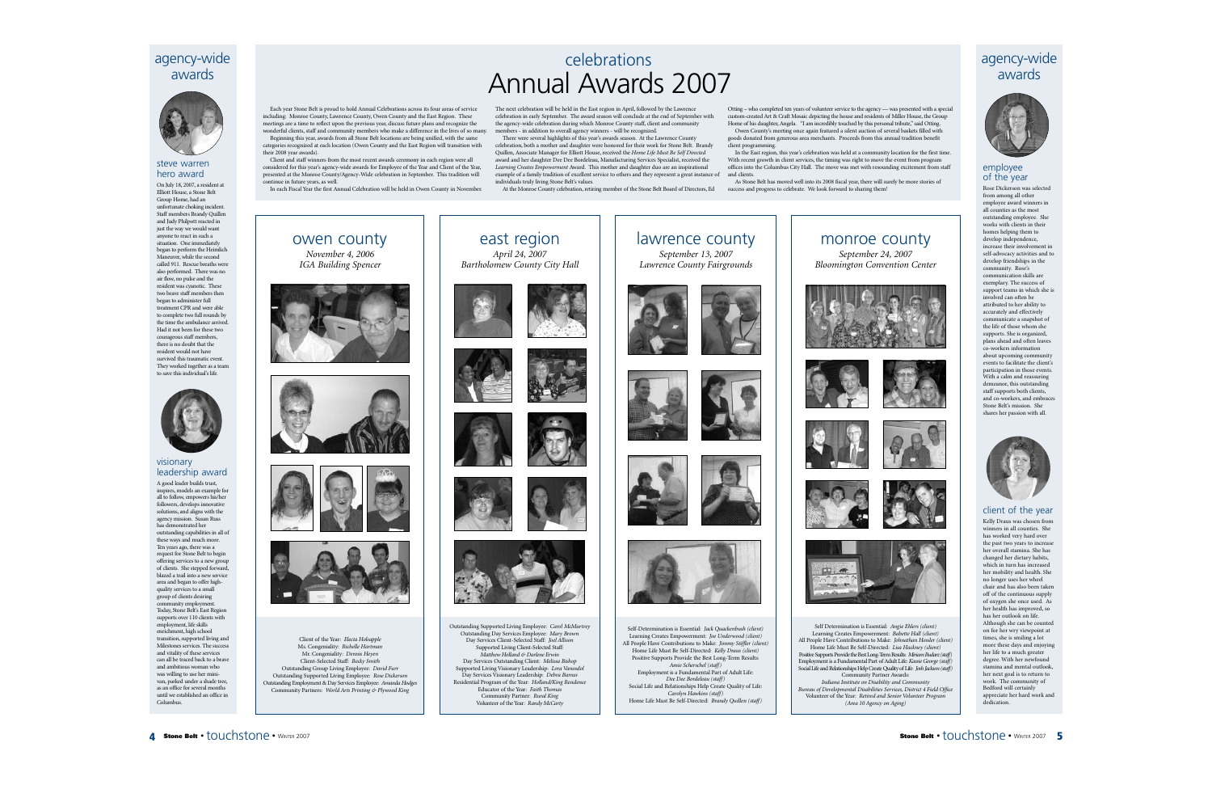### agency-wide awards

#### steve warren hero award

On July 18, 2007, a resident at Elliott House, a Stone Belt Group Home, had an unfortunate choking incident. Staff members Brandy Quillen and Judy Philpott reacted in just the way we would want anyone to react in such a situation. One immediately began to perform the Heimlich Maneuver, while the second called 911. Rescue breaths were also performed. There was no air flow, no pulse and the resident was cyanotic. These two brave staff members then began to administer full treatment CPR and were able to complete two full rounds by the time the ambulance arrived. Had it not been for these two courageous staff members, there is no doubt that the resident would not have survived this traumatic event. They worked together as a team to save this individual's life.



### visionary leadership award

A good leader builds trust, inspires, models an example for all to follow, empowers his/her followers, develops innovative solutions, and aligns with the agency mission. Susan Russ has demonstrated her outstanding capabilities in all of these ways and much more. Ten years ago, there was a request for Stone Belt to begin offering services to a new group of clients. She stepped forward, blazed a trail into a new service area and began to offer highquality services to a small group of clients desiring munity employment Today, Stone Belt's East Region supports over 110 clients with employment, life skills enrichment, high school transition, supported living and Milestones services. The success and vitality of these services can all be traced back to a brave and ambitious woman who was willing to use her minivan, parked under a shade tree, as an office for several months until we established an office in Columbus.



owen county *November 4, 2006 IGA Building Spencer*

Client of the Year: *Electa Holsapple* Ms. Congeniality: *Richelle Hartman* Mr. Congeniality: *Dennis Heyen* Client-Selected Staff: *Becky Smith* Outstanding Group Living Employee: *David Furr* Outstanding Supported Living Employee: *Rose Dickerson* Outstanding Employment & Day Services Employee: *Amanda Hodges* Community Partners: *World Arts Printing & Plywood King*

Client and staff winners from the most recent awards ceremony in each region were all considered for this year's agency-wide awards for Employee of the Year and Client of the Year, presented at the Monroe County/Agency-Wide celebration in September. This tradition will continue in future years, as well.

In each Fiscal Year the first Annual Celebration will be held in Owen County in November.

### celebrations Annual Awards 2007

The next celebration will be held in the East region in April, followed by the Lawrence celebration in early September. The award season will conclude at the end of September with the agency-wide celebration during which Monroe County staff, client and community members - in addition to overall agency winners - will be recognized.

There were several highlights of this year's awards season. At the Lawrence County celebration, both a mother and daughter were honored for their work for Stone Belt. Brandy Quillen, Associate Manager for Elliott House, received the *Home Life Must Be Self Directed* award and her daughter Dee Dee Bordeleau, Manufacturing Services Specialist, received the *Learning Creates Empowerment* Award. This mother and daughter duo are an inspirational example of a family tradition of excellent service to others and they represent a great instance of individuals truly living Stone Belt's values.

At the Monroe County celebration, retiring member of the Stone Belt Board of Directors, Ed

Otting – who completed ten years of volunteer service to the agency — was presented with a special custom-created Art & Craft Mosaic depicting the house and residents of Miller House, the Group Home of his daughter, Angela. "I am incredibly touched by this personal tribute," said Otting.

Owen County's meeting once again featured a silent auction of several baskets filled with goods donated from generous area merchants. Proceeds from this annual tradition benefit client programming.

In the East region, this year's celebration was held at a community location for the first time. With recent growth in client services, the timing was right to move the event from program offices into the Columbus City Hall. The move was met with resounding excitement from staff and clients.

As Stone Belt has moved well into its 2008 fiscal year, there will surely be more stories of success and progress to celebrate. We look forward to sharing them!





### employee of the year

Rose Dickerson was selected from among all other employee award winners in all counties as the most outstanding employee. She works with clients in their homes helping them to develop independence, increase their involvement in self-advocacy activities and to develop friendships in the community. Rose's communication skills are exemplary. The success of support teams in which she is involved can often be attributed to her ability to accurately and effectively communicate a snapshot of the life of those whom she supports. She is organized, plans ahead and often leaves co-workers information about upcoming community events to facilitate the client's participation in those events. With a calm and reassuring demeanor, this outstanding staff supports both clients, and co-workers, and embraces Stone Belt's mission. She shares her passion with all.



### client of the year

Kelly Draus was chosen from winners in all counties. She has worked very hard over the past two years to increase her overall stamina. She has changed her dietary habits, which in turn has increased her mobility and health. She no longer uses her wheel chair and has also been taken off of the continuous supply of oxygen she once used. As her health has improved, so has her outlook on life. Although she can be counted on for her wry viewpoint at times, she is smiling a lot more these days and enjoying her life to a much greater degree. With her newfound stamina and mental outlook, her next goal is to return to work. The community of Bedford will certainly appreciate her hard work and dedication.

east region *April 24, <sup>2007</sup> Bartholomew County City Hall*



Outstanding Supported Living Employee: *Carol McMurtrey* Outstanding Day Services Employee: *Mary Brown* Day Services Client-Selected Staff: *Joel Allison* Supported Living Client-Selected Staff: *Matthew Holland & Darlene Erwin* Day Services Outstanding Client: *Melissa Bishop* Supported Living Visionary Leadership: *Lora Vanosdol* Day Services Visionary Leadership: *Debra Barnes* Residential Program of the Year: *Holland/King Residence* Educator of the Year: *Faith Thomas* Community Partner: *Rural King* Volunteer of the Year: *Randy McCarty*











Self-Determination is Essential: *Jack Quackenbush (client)* Learning Creates Empowerment: *Joe Underwood (client)* All People Have Contributions to Make: *Jimmy Stiffler (client)* Home Life Must Be Self-Directed: *Kelly Draus (client)* Positive Supports Provide the Best Long-Term Results: *Amie Scherschel (staff)* Employment is a Fundamental Part of Adult Life: *Dee Dee Bordeleau (staff)* Social Life and Relationships Help Create Quality of Life: *Carolyn Hawkins (staff)* Home Life Must Be Self-Directed: *Brandy Quillen (staff)*

# monroe county

*September 24, <sup>2007</sup> Bloomington Convention Center*











Self Determination is Essential: *Angie Ehlers (client)* Learning Creates Empowerment: *Babette Hall (client)* All People Have Contributions to Make: *Johnathan Hossler (client)* Home Life Must Be Self-Directed: *Lisa Hackney (client)* Positive Supports Provide the Best Long-Term Results: *Miriam Budarz (staff)* Employment is a Fundamental Part of Adult Life: *Kassie George (staff)* Social Life and Relationships Help Create Quality of Life: *Josh Jackson (staff)* Community Partner Awards: *Indiana Institute on Disability and Community Bureau of Developmental Disabilities Services, District 4 Field Office* Volunteer of the Year: *Retired and Senior Volunteer Program (Area 10 Agency on Aging)*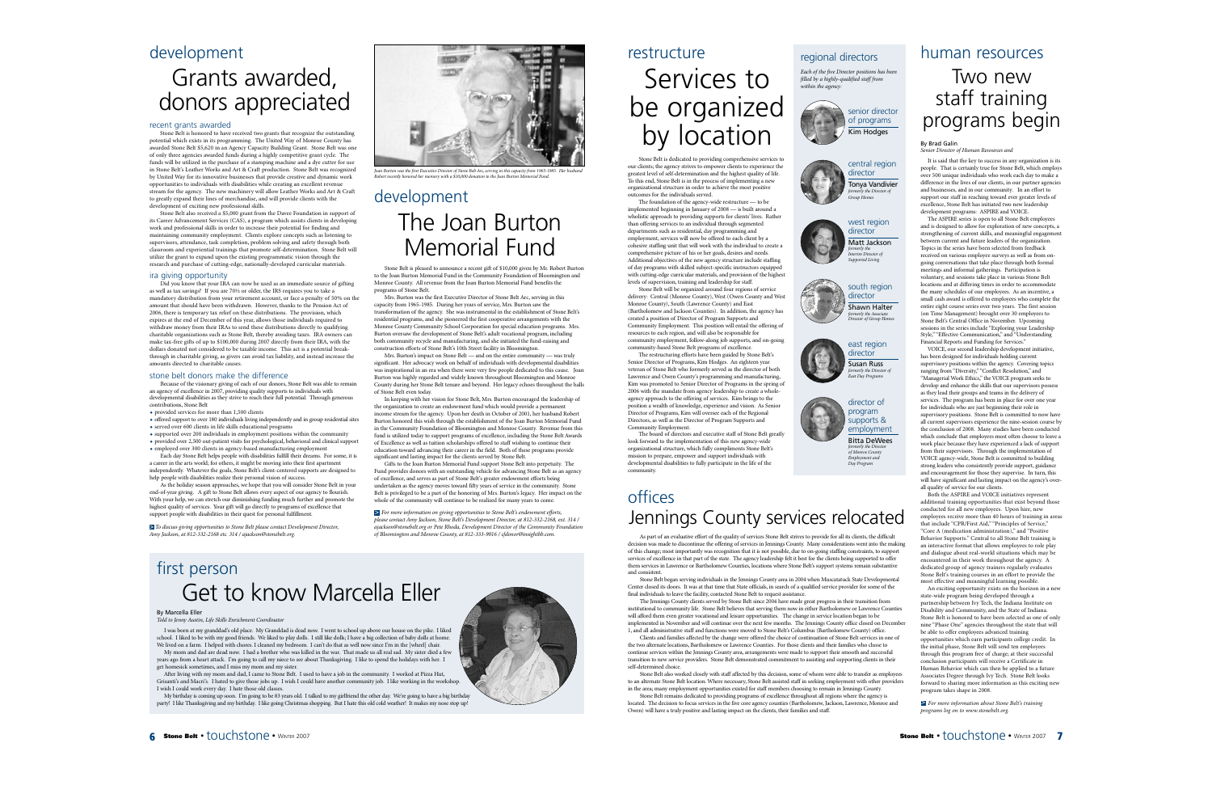### development

## Grants awarded, donors appreciated

#### recent grants awarded

Stone Belt is honored to have received two grants that recognize the outstanding potential which exists in its programming. The United Way of Monroe County has awarded Stone Belt \$5,620 in an Agency Capacity Building Grant. Stone Belt was one of only three agencies awarded funds during a highly competitive grant cycle. The funds will be utilized in the purchase of a stamping machine and a dye cutter for use in Stone Belt's Leather Works and Art & Craft production. Stone Belt was recognized by United Way for its innovative businesses that provide creative and dynamic work opportunities to individuals with disabilities while creating an excellent revenue stream for the agency. The new machinery will allow Leather Works and Art & Craft to greatly expand their lines of merchandise, and will provide clients with the development of exciting new professional skills.

Stone Belt also received a \$5,000 grant from the Davee Foundation in support of its Career Advancement Services (CAS), a program which assists clients in developing work and professional skills in order to increase their potential for finding and maintaining community employment. Clients explore concepts such as listening to supervisors, attendance, task completion, problem solving and safety through both classroom and experiential trainings that promote self-determination. Stone Belt will utilize the grant to expand upon the existing programmatic vision through the research and purchase of cutting-edge, nationally-developed curricular materials.

### ira giving opportunity

Did you know that your IRA can now be used as an immediate source of gifting as well as tax savings? If you are 70½ or older, the IRS requires you to take a mandatory distribution from your retirement account, or face a penalty of 50% on the amount that should have been withdrawn. However, thanks to the Pension Act of 2006, there is temporary tax relief on these distributions. The provision, which expires at the end of December of this year, allows those individuals required to withdraw money from their IRAs to send these distributions directly to qualifying charitable organizations such as Stone Belt, thereby avoiding taxes. IRA owners can make tax-free gifts of up to \$100,000 during 2007 directly from their IRA, with the dollars donated not considered to be taxable income. This act is a potential breakthrough in charitable giving, as givers can avoid tax liability, and instead increase the amounts directed to charitable causes.

#### stone belt donors make the difference

Because of the visionary giving of each of our donors, Stone Belt was able to remain an agency of excellence in 2007, providing quality supports to individuals with developmental disabilities as they strive to reach their full potential. Through generous contributions, Stone Belt

- provided services for more than 1,500 clients
- offered support to over 180 individuals living independently and in group residential sites served over 600 clients in life skills educational programs
- supported over 200 individuals in employment positions within the community
- provided over 2,500 out-patient visits for psychological, behavioral and clinical support employed over 300 clients in agency-based manufacturing employment

Each day Stone Belt helps people with disabilities fulfill their dreams. For some, it is a career in the arts world; for others, it might be moving into their first apartment independently. Whatever the goals, Stone Belt's client-centered supports are designed to help people with disabilities realize their personal vision of success.

As the holiday season approaches, we hope that you will consider Stone Belt in your end-of-year giving. A gift to Stone Belt allows every aspect of our agency to flourish. With your help, we can stretch our diminishing funding much further and promote the highest quality of services. Your gift will go directly to programs of excellence that support people with disabilities in their quest for personal fulfillment.

*To discuss giving opportunities to Stone Belt please contact Development Director,* >Amy Jackson, at 812-332-2168 etc. 314 / ajackson@stonebelt.org.



Joan Burton was the first Executive Director of Stone Belt Arc, serving in this capacity from 1965-1985. Her husband<br>Robert recently honored her memory with a \$10,000 donation to the Joan Burton Memorial Fund.

### development The Joan Burton Memorial Fund

Stone Belt is pleased to announce a recent gift of \$10,000 given by Mr. Robert Burton to the Joan Burton Memorial Fund in the Community Foundation of Bloomington and Monroe County. All revenue from the Joan Burton Memorial Fund benefits the programs of Stone Belt.

Mrs. Burton was the first Executive Director of Stone Belt Arc, serving in this capacity from 1965-1985. During her years of service, Mrs. Burton saw the transformation of the agency. She was instrumental in the establishment of Stone Belt's residential programs, and she pioneered the first cooperative arrangements with the Monroe County Community School Corporation for special education programs. Mrs. Burton oversaw the development of Stone Belt's adult vocational program, including both community recycle and manufacturing, and she initiated the fund-raising and construction efforts of Stone Belt's 10th Street facility in Bloomington.

Mrs. Burton's impact on Stone Belt — and on the entire community — was truly significant. Her advocacy work on behalf of individuals with developmental disabilities was inspirational in an era when there were very few people dedicated to this cause. Joan Burton was highly regarded and widely known throughout Bloomington and Monroe County during her Stone Belt tenure and beyond. Her legacy echoes throughout the halls of Stone Belt even today.

In keeping with her vision for Stone Belt, Mrs. Burton encouraged the leadership of the organization to create an endowment fund which would provide a permanent income stream for the agency. Upon her death in October of 2001, her husband Robert Burton honored this wish through the establishment of the Joan Burton Memorial Fund in the Community Foundation of Bloomington and Monroe County. Revenue from this fund is utilized today to support programs of excellence, including the Stone Belt Awards of Excellence as well as tuition scholarships offered to staff wishing to continue their education toward advancing their career in the field. Both of these programs provide significant and lasting impact for the clients served by Stone Belt.

Gifts to the Joan Burton Memorial Fund support Stone Belt into perpetuity. The Fund provides donors with an outstanding vehicle for advancing Stone Belt as an agency of excellence, and serves as part of Stone Belt's greater endowment efforts being undertaken as the agency moves toward fifty years of service in the community. Stone Belt is privileged to be a part of the honoring of Mrs. Burton's legacy. Her impact on the whole of the community will continue to be realized for many years to come.

*For more information on giving opportunities to Stone Belt's endowment efforts,* >*please contact Amy Jackson, Stone Belt's Development Director, at 812-332-2168, ext. 314 / ajackson@stonebelt.org or Pete Rhoda, Development Director of the Community Foundation of Bloomington and Monroe County, at 812-333-9016 / cfdonor@insightbb.com.*

### restructure Services to be organized by location

Stone Belt is dedicated to providing comprehensive services to our clients; the agency strives to empower clients to experience the greatest level of self-determination and the highest quality of life. To this end, Stone Belt is in the process of implementing a new organizational structure in order to achieve the most positive outcomes for the individuals served.

The foundation of the agency-wide restructure — to be implemented beginning in January of 2008 — is built around a wholistic approach to providing supports for clients' lives. Rather than offering services to an individual through segmented departments such as residential, day programming and employment, services will now be offered to each client by a cohesive staffing unit that will work with the individual to create a comprehensive picture of his or her goals, desires and needs. Additional objectives of the new agency structure include staffing of day programs with skilled subject-specific instructors equipped with cutting-edge curricular materials, and provision of the highest levels of supervision, training and leadership for staff.

Stone Belt will be organized around four regions of service delivery: Central (Monroe County), West (Owen County and West Monroe County), South (Lawrence County) and East (Bartholomew and Jackson Counties). In addition, the agency has created a position of Director of Program Supports and Community Employment. This position will entail the offering of resources to each region, and will also be responsible for community employment, follow-along job supports, and on-going community-based Stone Belt programs of excellence.

The restructuring efforts have been guided by Stone Belt's Senior Director of Programs, Kim Hodges. An eighteen year veteran of Stone Belt who formerly served as the director of both Lawrence and Owen County's programming and manufacturing, Kim was promoted to Senior Director of Programs in the spring of 2006 with the mandate from agency leadership to create a wholeagency approach to the offering of services. Kim brings to the position a wealth of knowledge, experience and vision. As Senior Director of Programs, Kim will oversee each of the Regional Directors, as well as the Director of Program Supports and Community Employment.

The board of directors and executive staff of Stone Belt greatly look forward to the implementation of this new agency-wide organizational structure, which fully compliments Stone Belt's mission to prepare, empower and support individuals with developmental disabilities to fully participate in the life of the community.

### offices Jennings County services relocated

As part of an evaluative effort of the quality of services Stone Belt strives to provide for all its clients, the difficult decision was made to discontinue the offering of services in Jennings County. Many considerations went into the making of this change; most importantly was recognition that it is not possible, due to on-going staffing constraints, to support services of excellence in that part of the state. The agency leadership felt it best for the clients being supported to offer them services in Lawrence or Bartholomew Counties, locations where Stone Belt's support systems remain substantive and consister.

Stone Belt began serving individuals in the Jennings County area in 2004 when Muscatatuck State Developmental Center closed its doors. It was at that time that State officials, in search of a qualified service provider for some of the final individuals to leave the facility, contacted Stone Belt to request assistance.

The Jennings County clients served by Stone Belt since 2004 have made great progress in their transition from institutional to community life. Stone Belt believes that serving them now in either Bartholomew or Lawrence Counties will afford them even greater vocational and leisure opportunities. The change in service location began to be implemented in November and will continue over the next few months. The Jennings County office closed on December 1, and all administrative staff and functions were moved to Stone Belt's Columbus (Bartholomew County) office.

Clients and families affected by the change were offered the choice of continuation of Stone Belt services in one of the two alternate locations, Bartholomew or Lawrence Counties. For those clients and their families who chose to continue services within the Jennings County area, arrangements were made to support their smooth and successful transition to new service providers. Stone Belt demonstrated commitment to assisting and supporting clients in their self-determined choice.

Stone Belt also worked closely with staff affected by this decision, some of whom were able to transfer as employees to an alternate Stone Belt location. Where necessary, Stone Belt assisted staff in seeking employment with other providers in the area; many employment opportunities existed for staff members choosing to remain in Jennings County.

Stone Belt remains dedicated to providing programs of excellence throughout all regions where the agency is located. The decision to focus services in the five core agency counties (Bartholomew, Jackson, Lawrence, Monroe and Owen) will have a truly positive and lasting impact on the clients, their families and staff.

### regional directors

*Each of the five Director positions has been filled by a highly-qualified staff from within the agency:*









east region director Susan Russ *formerly the Director of East Day Programs*



### human resources

### Two new staff training programs begin

#### By Brad Galin *Senior Director of Human Resources and*

It is said that the key to success in any organization is its people. That is certainly true for Stone Belt, which employs over 500 unique individuals who work each day to make a difference in the lives of our clients, in our partner agencies and businesses, and in our community. In an effort to support our staff in reaching toward ever greater levels of excellence. Stone Belt has initiated two new leadership development programs: ASPIRE and VOICE.

The ASPIRE series is open to all Stone Belt employees and is designed to allow for exploration of new concepts, a strengthening of current skills, and meaningful engagement between current and future leaders of the organization. Topics in the series have been selected from feedback received on various employee surveys as well as from ongoing conversations that take place through both formal meetings and informal gatherings. Participation is voluntary, and sessions take place in various Stone Belt locations and at differing times in order to accommodate the many schedules of our employees. As an incentive, <sup>a</sup> small cash award is offered to employees who complete the entire eight course series over two years. The first session (on Time Management) brought over 30 employees to Stone Belt's Central Office in November. Upcoming sessions in the series include "Exploring your Leadership Style," "Effective Communication," and "Understanding Financial Reports and Funding for Services."

VOICE, our second leadership development initiative, has been designed for individuals holding current supervisory positions within the agency. Covering topics ranging from "Diversity,""Conflict Resolution," and "Managerial Work Ethics," the VOICE program seeks to develop and enhance the skills that our supervisors posses as they lead their groups and teams in the delivery of services. The program has been in place for over one year for individuals who are just beginning their role in supervisory positions. Stone Belt is committed to now have all current supervisors experience the nine-session course by the conclusion of 2008. Many studies have been conducted which conclude that employees most often choose to leave a work place because they have experienced a lack of suppor<sup>t</sup> from their supervisors. Through the implementation of VOICE agency-wide, Stone Belt is committed to building strong leaders who consistently provide support, guidance and encouragement for those they supervise. In turn, this will have significant and lasting impact on the agency's overall quality of service for our clients.

Both the ASPIRE and VOICE initiatives represent additional training opportunities that exist beyond those conducted for all new employees. Upon hire, new employees receive more than 40 hours of training in areas that include "CPR/First Aid," "Principles of Service," "Core A (medication administration)," and "Positive Behavior Supports." Central to all Stone Belt training is an interactive format that allows employees to role play and dialogue about real-world situations which may be encountered in their work throughout the agency. <sup>A</sup> dedicated group of agency trainers regularly evaluates Stone Belt's training courses in an effort to provide the most effective and meaningful learning possible.

An exciting opportunity exists on the horizon in a new state-wide program being developed through a partnership between Ivy Tech, the Indiana Institute on Disability and Community, and the State of Indiana. Stone Belt is honored to have been selected as one of only nine "Phase One" agencies throughout the state that will be able to offer employees advanced training opportunities which earn participants college credit. In the initial phase, Stone Belt will send ten employees through this program free of charge; at their successful conclusion participants will receive a Certificate in Human Behavior which can then be applied to a future Associates Degree through Ivy Tech. Stone Belt looks forward to sharing more information as this exciting new program takes shape in 2008.

*For more information about Stone Belt's training* > *programs log on to www.stonebelt.org.*

Get to know Marcella Eller By Marcella Eller first person

*Told to Jenny Austin, Life Skills Enrichment Coordinator*

I was born at my granddad's old place. My Granddad is dead now. I went to school up above our house on the pike. I liked school. I liked to be with my good friends. We liked to play dolls. I still like dolls; I have a big collection of baby dolls at home. We lived on a farm. I helped with chores. I cleaned my bedroom. I can't do that as well now since I'm in the [wheel] chair. My mom and dad are dead now. I had a brother who was killed in the war. That made us all real sad. My sister died a few

years ago from a heart attack. I'm going to call my niece to see about Thanksgiving. I like to spend the holidays with her. <sup>I</sup> get homesick sometimes, and I miss my mom and my sister.

After living with my mom and dad, I came to Stone Belt. I used to have a job in the community. I worked at Pizza Hut, Grisanti's and Macri's. I hated to give those jobs up. I wish I could have another community job. I like working in the workshop. I wish I could work every day. I hate those old classes.

My birthday is coming up soon. I'm going to be 83 years old. I talked to my girlfriend the other day. We're going to have a big birthday<br>1) party! I like Thanksgiving and my birthday. I like going Christmas shopping. But I